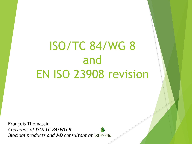ISO/TC 84/WG 8 and EN ISO 23908 revision

François Thomassin *Convenor of ISO/TC 84/WG 8 Biocidal products and MD consultant at*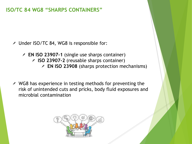## **ISO/TC 84 WG8 "SHARPS CONTAINERS"**

- Under ISO/TC 84, WG8 is responsible for:
	- **EN ISO 23907-1** (single use sharps container) **ISO 23907-2** (reusable sharps container) **EN ISO 23908** (sharps protection mechanisms)
- $\lambda$  WG8 has experience in testing methods for preventing the risk of unintended cuts and pricks, body fluid exposures and microbial contamination

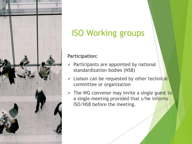

## ISO Working groups

## **Participation:**

- Participants are appointed by national  $\overrightarrow{p}$ standardization bodies (NSB)
- $\lambda$  Liaison can be requested by other technical committee or organization
- The WG convenor may invite a single guest to a single meeting provided that s/he informs ISO/NSB before the meeting.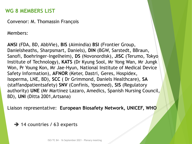## **WG 8 MEMBERS LIST**

Convenor: M. Thomassin François

Members:

**ANSI** (FDA, BD, AbbVie), **BIS** (Aimindia) **BSI** (Frontier Group, Danielsheaths, Sharpsmart, Daniels), **DIN** (BGW, Sarstedt, BBraun, Sanofi, Boehringer-Ingelheim), **DS** (Novonordisk), **JISC** (Terumo, Tokyo Institute of Technology), **KATS** (Dr Kyung Sool, Mr Yong Wan, Mr Jungk Won, Pr Young Kon, Mr Jae-Hyun, National Institute of Medical Device Safety Information), **AFNOR** (Keter, Dastri, Geres, Hospidex, Isoperma, LNE, BD), **SCC** ( Dr Grimmond, Daniels Healthcare), **SA**  (staffandpatientsafety) **SNV** (Confinis, Ypsomed), **SIS** (Regulatory authority) **UNE** (Mr Martinez Lazaro, Amedics, Spanish Nursing Council, BD), **UNI** (Ditta 2001,Artsana)

Liaison representative: **European Biosafety Network, UNICEF, WHO**

➔ **14 countries / 63 experts**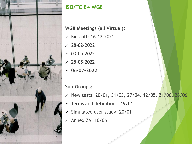

## **ISO/TC 84 WG8**

## **WG8 Meetings (all Virtual):**

- Kick off: 16-12-2021
- 28-02-2022
- 03-05-2022
- 25-05-2022
- **06-07-2022**

## **Sub-Groups:**

- New tests: 20/01, 31/03, 27/04, 12/05, 21/06, 28/06
- Terms and definitions: 19/01
- Simulated user study: 20/01  $\boldsymbol{\mu}$
- Annex ZA: 10/06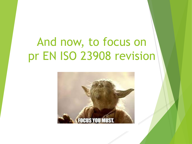# And now, to focus on pr EN ISO 23908 revision

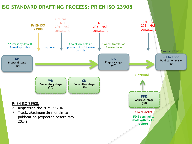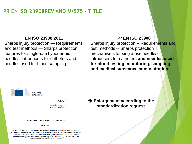## **PR EN ISO 23908REV AND M/575 - TITLE**

#### **EN ISO 23908:2011**

Sharps injury protection — Requirements and test methods — Sharps protection features for single-use hypodermic needles, introducers for catheters and needles used for blood sampling

#### **Pr EN ISO 23908**

Sharps injury protection -- Requirements and test methods -- Sharps protection mechanisms for single-use needles, introducers for catheters **and needles used for blood testing, monitoring, sampling and medical substance administration**



 $M/575$ **Brussels**, 14.4.2021 C(2021) 2406 final

#### ➔ **Enlargement according to the standardization request**

**COMMISSION IMPLEMENTING DECISION** 

#### of 14.4.2021

on a standardisation request to the European Committee for Standardization and the European Committee for Electrotechnical Standardization as regards medical devices in support of Regulation (EU) 2017/745 of the European Parliament and of the Council and in vitro diagnostic medical devices in support of Regulation (EU) 2017/746 of the **European Parliament and of the Council**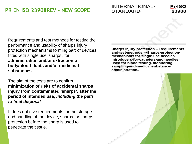## **PR EN ISO 23908REV – NEW SCOPE**

INTERNATIONAL· STANDARD<sub>a</sub>

Requirements and test methods for testing the performance and usability of sharps injury protection mechanisms forming part of devices fitted with single use 'sharps', for **administration and/or extraction of body/blood fluids and/or medicinal substances**.

The aim of the tests are to confirm **minimization of risks of accidental sharps injury from contaminated 'sharps', after the period of intended use,** *including the path to final disposal.*

It does not give requirements for the storage and handling of the device, sharps, or sharps protection before the sharp is used to penetrate the tissue.

Sharps-injury-protection----Requirementsand test methods --- Sharps protection. mechanisms for single-use needles, introducers for catheters and needles. used for blood testing, monitoring, sampling-and-medical-substanceadministration¤

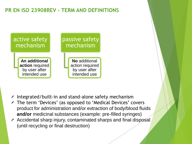## **PR EN ISO 23908REV - TERM AND DEFINITIONS**



- Integrated/built-in and stand-alone safety mechanism
- The term 'Devices' (as opposed to 'Medical Devices' covers product for administration and/or extraction of body/blood fluids **and/or** medicinal substances (example: pre-filled syringes)
- $\lambda$  Accidental sharp injury, contaminated sharps and final disposal (until recycling or final destruction)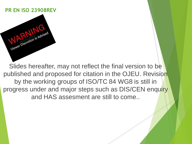## **PR EN ISO 23908REV**



Slides hereafter, may not reflect the final version to be published and proposed for citation in the OJEU. Revision by the working groups of ISO/TC 84 WG8 is still in progress under and major steps such as DIS/CEN enquiry and HAS assesment are still to come..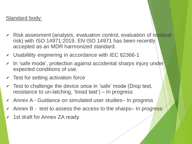## Standard body:

- Risk assesment (analysis, evaluation control, evaluation of residual pt risk) with ISO 14971:2019. EN ISO 14971 has been recently accepted as an MDR harmonized standard.
- Usabilitity enginering in accordance with IEC 62366-1
- In 'safe mode', protection against accidental sharps injury under  $\boldsymbol{\beta}^*$ expected conditions of use.
- $\ge$  Test for setting activation force
- Test to challenge the device once in 'safe' mode (Drop test, resistance to un-latching, 'tread test') – In progress
- Annex A Guidance on simulated user studies– In progress
- Annex B test to assess the access to the sharps– In progress ◢
- 1st draft for Annex ZA ready